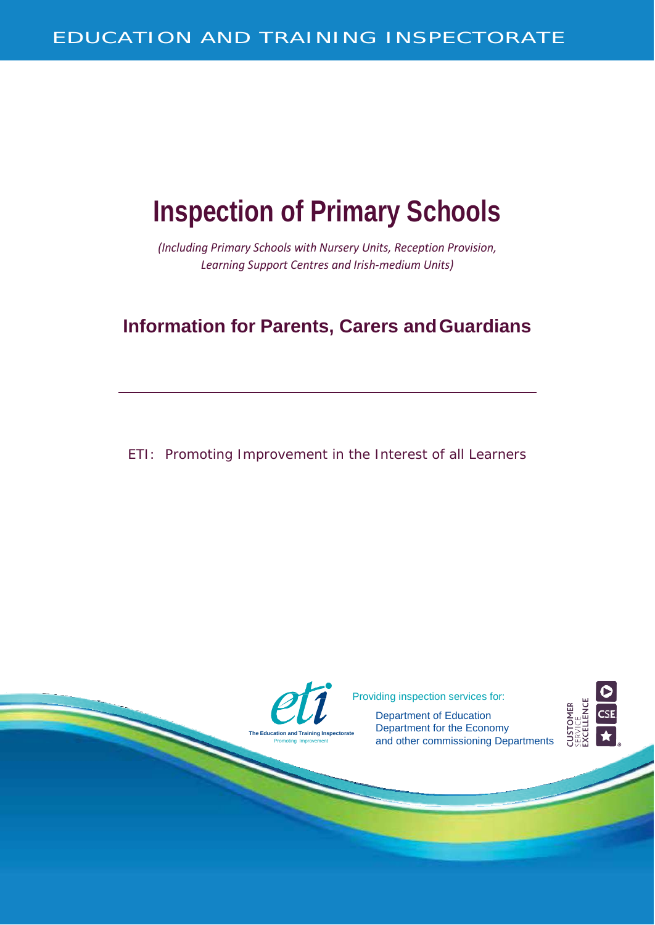# **Inspection of Primary Schools**

*(Including Primary Schools with Nursery Units, Reception Provision, Learning Support Centres and Irish-medium Units)*

# **Information for Parents, Carers andGuardians**

ETI: Promoting Improvement in the Interest of all Learners

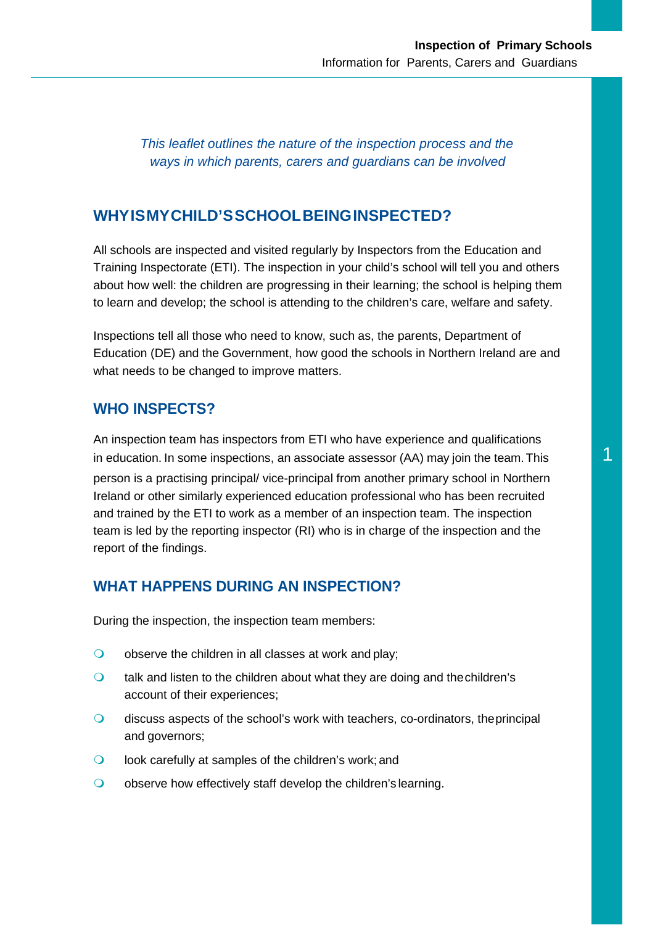*This leaflet outlines the nature of the inspection process and the ways in which parents, carers and guardians can be involved*

#### **WHYISMYCHILD'SSCHOOLBEINGINSPECTED?**

All schools are inspected and visited regularly by Inspectors from the Education and Training Inspectorate (ETI). The inspection in your child's school will tell you and others about how well: the children are progressing in their learning; the school is helping them to learn and develop; the school is attending to the children's care, welfare and safety.

Inspections tell all those who need to know, such as, the parents, Department of Education (DE) and the Government, how good the schools in Northern Ireland are and what needs to be changed to improve matters.

### **WHO INSPECTS?**

An inspection team has inspectors from ETI who have experience and qualifications in education. In some inspections, an associate assessor (AA) may join the team. This  $1$ person is a practising principal/ vice-principal from another primary school in Northern Ireland or other similarly experienced education professional who has been recruited and trained by the ETI to work as a member of an inspection team. The inspection team is led by the reporting inspector (RI) who is in charge of the inspection and the report of the findings.

#### **WHAT HAPPENS DURING AN INSPECTION?**

During the inspection, the inspection team members:

- $\bigcirc$  observe the children in all classes at work and play;
- $\circ$  talk and listen to the children about what they are doing and the children's account of their experiences;
- discuss aspects of the school's work with teachers, co-ordinators, theprincipal and governors;
- **look carefully at samples of the children's work; and**
- O observe how effectively staff develop the children's learning.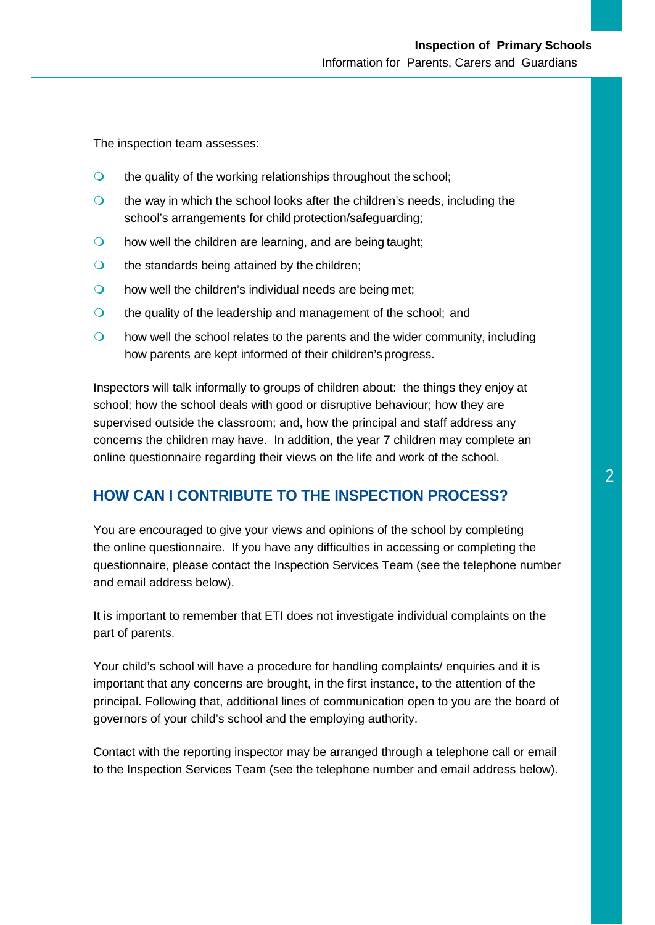The inspection team assesses:

- $\bullet$  the quality of the working relationships throughout the school;
- **the way in which the school looks after the children's needs, including the** school's arrangements for child protection/safeguarding;
- **o** how well the children are learning, and are being taught;
- $\bigcirc$  the standards being attained by the children;
- **O** how well the children's individual needs are being met;
- the quality of the leadership and management of the school; and
- $\bullet$  how well the school relates to the parents and the wider community, including how parents are kept informed of their children's progress.

Inspectors will talk informally to groups of children about: the things they enjoy at school; how the school deals with good or disruptive behaviour; how they are supervised outside the classroom; and, how the principal and staff address any concerns the children may have. In addition, the year 7 children may complete an online questionnaire regarding their views on the life and work of the school.

#### **HOW CAN I CONTRIBUTE TO THE INSPECTION PROCESS?**

You are encouraged to give your views and opinions of the school by completing the online questionnaire. If you have any difficulties in accessing or completing the questionnaire, please contact the Inspection Services Team (see the telephone number and email address below).

It is important to remember that ETI does not investigate individual complaints on the part of parents.

Your child's school will have a procedure for handling complaints/ enquiries and it is important that any concerns are brought, in the first instance, to the attention of the principal. Following that, additional lines of communication open to you are the board of governors of your child's school and the employing authority.

Contact with the reporting inspector may be arranged through a telephone call or email to the Inspection Services Team (see the telephone number and email address below).